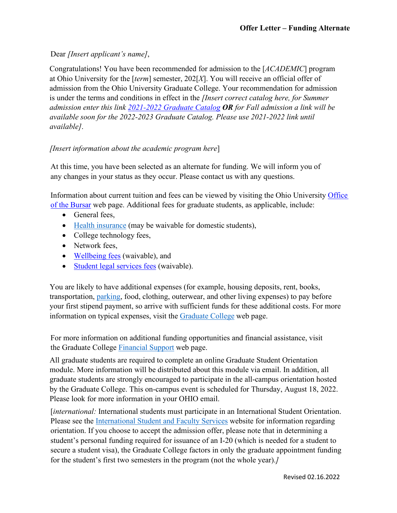## Dear *[Insert applicant's name]*,

Congratulations! You have been recommended for admission to the [*ACADEMIC*] program at Ohio University for the [*term*] semester, 202[*X*]. You will receive an official offer of admission from the Ohio University Graduate College. Your recommendation for admission is under the terms and conditions in effect in the *[Insert correct catalog here, for Summer admission enter this link [2021-2022 Graduate Catalog](https://www.catalogs.ohio.edu/index.php?catoid=71) OR for Fall admission a link will be available soon for the 2022-2023 Graduate Catalog. Please use 2021-2022 link until available]*.

## *[Insert information about the academic program here*]

At this time, you have been selected as an alternate for funding. We will inform you of any changes in your status as they occur. Please contact us with any questions.

Information about current tuition and fees can be viewed by visiting the Ohio University [Office](https://www.ohio.edu/bursar/graduate-tuition)  [of the Bursar](https://www.ohio.edu/bursar/graduate-tuition) web [page. A](https://www.ohio.edu/bursar/graduate-tuition.cfm)dditional fees for graduate students, as applicable, include:

- General fees,
- [Health insurance](https://www.ohio.edu/student-insurance/) (may be waivable for domestic students),
- College technology fees,
- Network fees,
- [Wellbeing fees](https://www.ohio.edu/student-affairs/wellbeing) (waivable), and
- [Student legal services fees](https://www.studentlegalrights.org/) (waivable).

You are likely to have additional expenses (for example, housing deposits, rent, books, transportation, [parking, f](https://www.ohio.edu/parking/index.cfm)ood, clothing, outerwear, and other living expenses) to pay before your first stipend payment, so arrive with sufficient funds for these additional costs. For more information on typical expenses, visit the [Graduate College](https://www.ohio.edu/graduate/prospective-students/tuition) web page.

For more information on additional funding opportunities and financial assistance, visit the Graduate College [Financial Support](https://www.ohio.edu/graduate/prospective-students/financial-support) web page.

All graduate students are required to complete an online Graduate Student Orientation module. More information will be distributed about this module via email. In addition, all graduate students are strongly encouraged to participate in the all-campus orientation hosted by the Graduate College. This on-campus event is scheduled for Thursday, August 18, 2022. Please look for more information in your OHIO email.

[*international:* International students must participate in an International Student Orientation. Please see the [International Student and Faculty Services](https://www.ohio.edu/global/isfs/index.cfm) website for information regarding orientation. If you choose to accept the admission offer, please note that in determining a student's personal funding required for issuance of an I-20 (which is needed for a student to secure a student visa), the Graduate College factors in only the graduate appointment funding for the student's first two semesters in the program (not the whole year).*]*